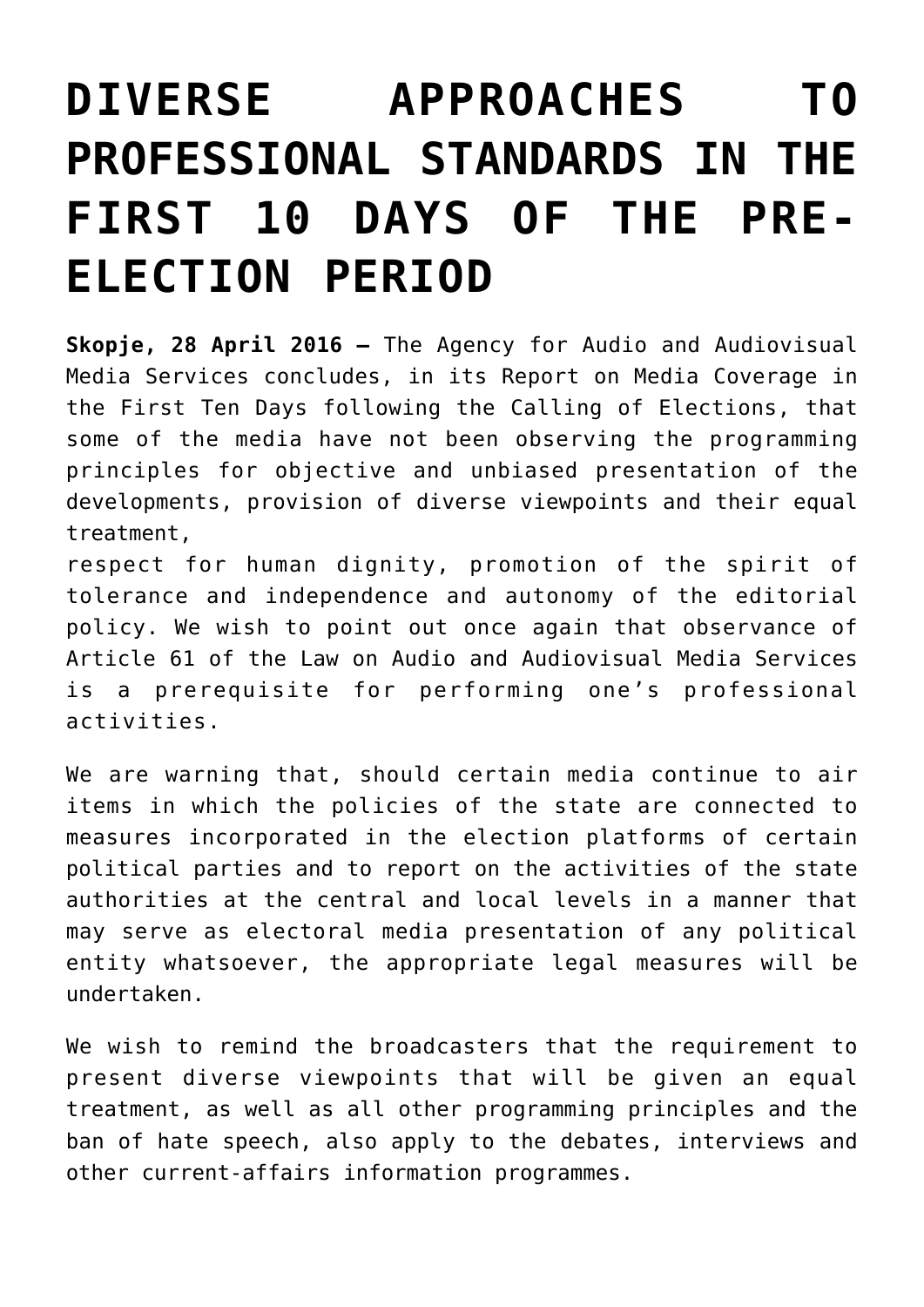## **[DIVERSE APPROACHES TO](https://avmu.mk/en/2016/05/11/diverse-approaches-to-professional-standards-in-the-first-10-days-of-the-pre-election-period-2/) [PROFESSIONAL STANDARDS IN THE](https://avmu.mk/en/2016/05/11/diverse-approaches-to-professional-standards-in-the-first-10-days-of-the-pre-election-period-2/) [FIRST 10 DAYS OF THE PRE-](https://avmu.mk/en/2016/05/11/diverse-approaches-to-professional-standards-in-the-first-10-days-of-the-pre-election-period-2/)[ELECTION PERIOD](https://avmu.mk/en/2016/05/11/diverse-approaches-to-professional-standards-in-the-first-10-days-of-the-pre-election-period-2/)**

**Skopje, 28 April 2016 –** The Agency for Audio and Audiovisual Media Services concludes, in its Report on Media Coverage in the First Ten Days following the Calling of Elections, that some of the media have not been observing the programming principles for objective and unbiased presentation of the developments, provision of diverse viewpoints and their equal treatment,

respect for human dignity, promotion of the spirit of tolerance and independence and autonomy of the editorial policy. We wish to point out once again that observance of Article 61 of the Law on Audio and Audiovisual Media Services is a prerequisite for performing one's professional activities.

We are warning that, should certain media continue to air items in which the policies of the state are connected to measures incorporated in the election platforms of certain political parties and to report on the activities of the state authorities at the central and local levels in a manner that may serve as electoral media presentation of any political entity whatsoever, the appropriate legal measures will be undertaken.

We wish to remind the broadcasters that the requirement to present diverse viewpoints that will be given an equal treatment, as well as all other programming principles and the ban of hate speech, also apply to the debates, interviews and other current-affairs information programmes.